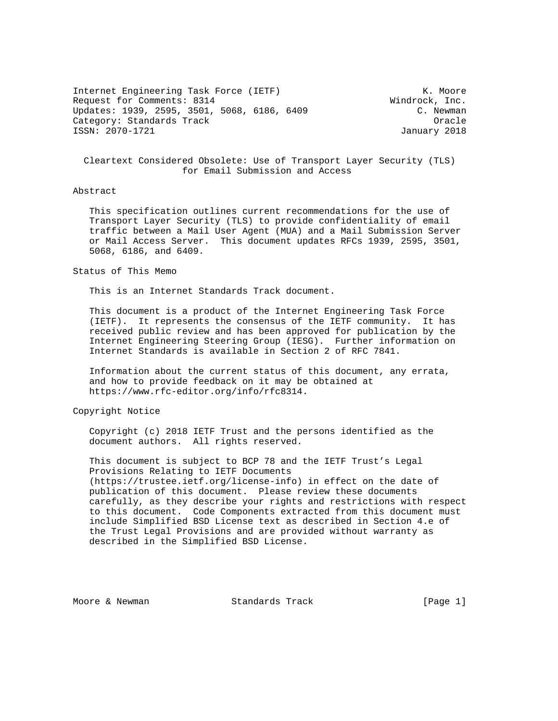Internet Engineering Task Force (IETF) The Contract Move of the Moore (IETF) and Moore Request for Comments: 8314 Windrock, Inc. Updates: 1939, 2595, 3501, 5068, 6186, 6409 C. Newman Category: Standards Track Category: Standards Track Category: Oracle ISSN: 2070-1721 January 2018

 Cleartext Considered Obsolete: Use of Transport Layer Security (TLS) for Email Submission and Access

## Abstract

 This specification outlines current recommendations for the use of Transport Layer Security (TLS) to provide confidentiality of email traffic between a Mail User Agent (MUA) and a Mail Submission Server or Mail Access Server. This document updates RFCs 1939, 2595, 3501, 5068, 6186, and 6409.

Status of This Memo

This is an Internet Standards Track document.

 This document is a product of the Internet Engineering Task Force (IETF). It represents the consensus of the IETF community. It has received public review and has been approved for publication by the Internet Engineering Steering Group (IESG). Further information on Internet Standards is available in Section 2 of RFC 7841.

 Information about the current status of this document, any errata, and how to provide feedback on it may be obtained at https://www.rfc-editor.org/info/rfc8314.

Copyright Notice

 Copyright (c) 2018 IETF Trust and the persons identified as the document authors. All rights reserved.

 This document is subject to BCP 78 and the IETF Trust's Legal Provisions Relating to IETF Documents (https://trustee.ietf.org/license-info) in effect on the date of publication of this document. Please review these documents carefully, as they describe your rights and restrictions with respect to this document. Code Components extracted from this document must include Simplified BSD License text as described in Section 4.e of the Trust Legal Provisions and are provided without warranty as described in the Simplified BSD License.

Moore & Newman Standards Track [Page 1]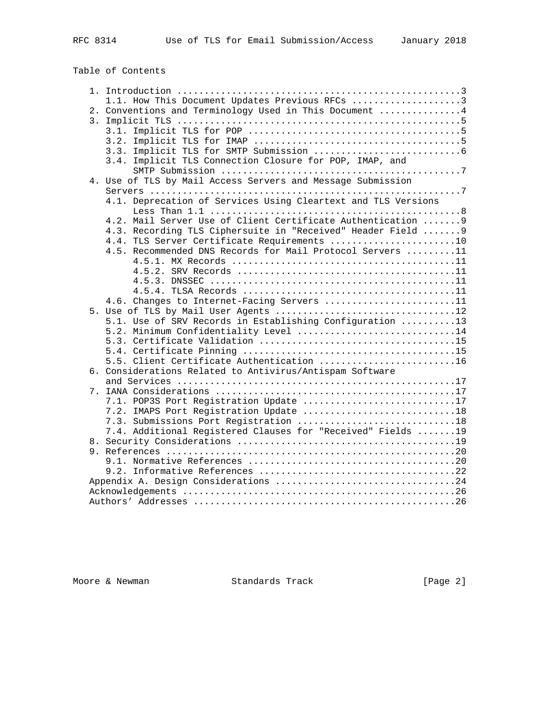## Table of Contents

|  | 1.1. How This Document Updates Previous RFCs 3                |
|--|---------------------------------------------------------------|
|  | 2. Conventions and Terminology Used in This Document  4       |
|  |                                                               |
|  |                                                               |
|  |                                                               |
|  |                                                               |
|  | 3.4. Implicit TLS Connection Closure for POP, IMAP, and       |
|  |                                                               |
|  | 4. Use of TLS by Mail Access Servers and Message Submission   |
|  |                                                               |
|  | 4.1. Deprecation of Services Using Cleartext and TLS Versions |
|  |                                                               |
|  | 4.2. Mail Server Use of Client Certificate Authentication  9  |
|  | 4.3. Recording TLS Ciphersuite in "Received" Header Field  9  |
|  | 4.4. TLS Server Certificate Requirements 10                   |
|  | 4.5. Recommended DNS Records for Mail Protocol Servers 11     |
|  |                                                               |
|  |                                                               |
|  |                                                               |
|  |                                                               |
|  | 4.6. Changes to Internet-Facing Servers 11                    |
|  |                                                               |
|  | 5.1. Use of SRV Records in Establishing Configuration 13      |
|  | 5.2. Minimum Confidentiality Level 14                         |
|  |                                                               |
|  | 5.5. Client Certificate Authentication 16                     |
|  | 6. Considerations Related to Antivirus/Antispam Software      |
|  |                                                               |
|  |                                                               |
|  | 7.1. POP3S Port Registration Update 17                        |
|  | 7.2. IMAPS Port Registration Update 18                        |
|  | 7.3. Submissions Port Registration 18                         |
|  | 7.4. Additional Registered Clauses for "Received" Fields 19   |
|  |                                                               |
|  |                                                               |
|  |                                                               |
|  |                                                               |
|  | Appendix A. Design Considerations 24                          |
|  |                                                               |
|  |                                                               |
|  |                                                               |

Moore & Newman Standards Track [Page 2]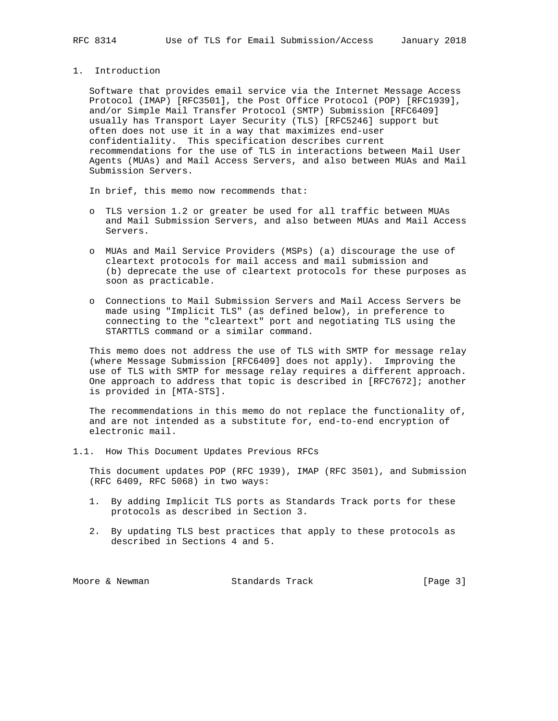1. Introduction

 Software that provides email service via the Internet Message Access Protocol (IMAP) [RFC3501], the Post Office Protocol (POP) [RFC1939], and/or Simple Mail Transfer Protocol (SMTP) Submission [RFC6409] usually has Transport Layer Security (TLS) [RFC5246] support but often does not use it in a way that maximizes end-user confidentiality. This specification describes current recommendations for the use of TLS in interactions between Mail User Agents (MUAs) and Mail Access Servers, and also between MUAs and Mail Submission Servers.

In brief, this memo now recommends that:

- o TLS version 1.2 or greater be used for all traffic between MUAs and Mail Submission Servers, and also between MUAs and Mail Access Servers.
- o MUAs and Mail Service Providers (MSPs) (a) discourage the use of cleartext protocols for mail access and mail submission and (b) deprecate the use of cleartext protocols for these purposes as soon as practicable.
- o Connections to Mail Submission Servers and Mail Access Servers be made using "Implicit TLS" (as defined below), in preference to connecting to the "cleartext" port and negotiating TLS using the STARTTLS command or a similar command.

 This memo does not address the use of TLS with SMTP for message relay (where Message Submission [RFC6409] does not apply). Improving the use of TLS with SMTP for message relay requires a different approach. One approach to address that topic is described in [RFC7672]; another is provided in [MTA-STS].

 The recommendations in this memo do not replace the functionality of, and are not intended as a substitute for, end-to-end encryption of electronic mail.

1.1. How This Document Updates Previous RFCs

 This document updates POP (RFC 1939), IMAP (RFC 3501), and Submission (RFC 6409, RFC 5068) in two ways:

- 1. By adding Implicit TLS ports as Standards Track ports for these protocols as described in Section 3.
- 2. By updating TLS best practices that apply to these protocols as described in Sections 4 and 5.

| Standards Track<br>Moore & Newman | [Page 3] |
|-----------------------------------|----------|
|-----------------------------------|----------|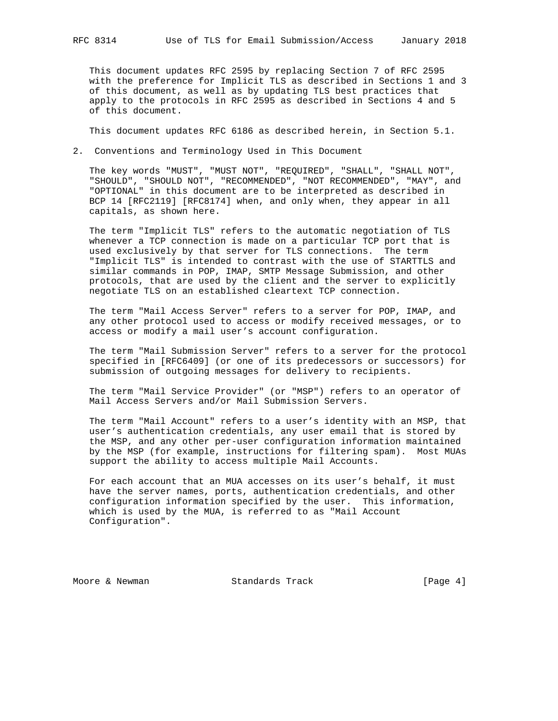This document updates RFC 2595 by replacing Section 7 of RFC 2595 with the preference for Implicit TLS as described in Sections 1 and 3 of this document, as well as by updating TLS best practices that apply to the protocols in RFC 2595 as described in Sections 4 and 5 of this document.

This document updates RFC 6186 as described herein, in Section 5.1.

2. Conventions and Terminology Used in This Document

 The key words "MUST", "MUST NOT", "REQUIRED", "SHALL", "SHALL NOT", "SHOULD", "SHOULD NOT", "RECOMMENDED", "NOT RECOMMENDED", "MAY", and "OPTIONAL" in this document are to be interpreted as described in BCP 14 [RFC2119] [RFC8174] when, and only when, they appear in all capitals, as shown here.

 The term "Implicit TLS" refers to the automatic negotiation of TLS whenever a TCP connection is made on a particular TCP port that is used exclusively by that server for TLS connections. The term "Implicit TLS" is intended to contrast with the use of STARTTLS and similar commands in POP, IMAP, SMTP Message Submission, and other protocols, that are used by the client and the server to explicitly negotiate TLS on an established cleartext TCP connection.

 The term "Mail Access Server" refers to a server for POP, IMAP, and any other protocol used to access or modify received messages, or to access or modify a mail user's account configuration.

 The term "Mail Submission Server" refers to a server for the protocol specified in [RFC6409] (or one of its predecessors or successors) for submission of outgoing messages for delivery to recipients.

 The term "Mail Service Provider" (or "MSP") refers to an operator of Mail Access Servers and/or Mail Submission Servers.

 The term "Mail Account" refers to a user's identity with an MSP, that user's authentication credentials, any user email that is stored by the MSP, and any other per-user configuration information maintained by the MSP (for example, instructions for filtering spam). Most MUAs support the ability to access multiple Mail Accounts.

 For each account that an MUA accesses on its user's behalf, it must have the server names, ports, authentication credentials, and other configuration information specified by the user. This information, which is used by the MUA, is referred to as "Mail Account Configuration".

Moore & Newman Standards Track (Page 4)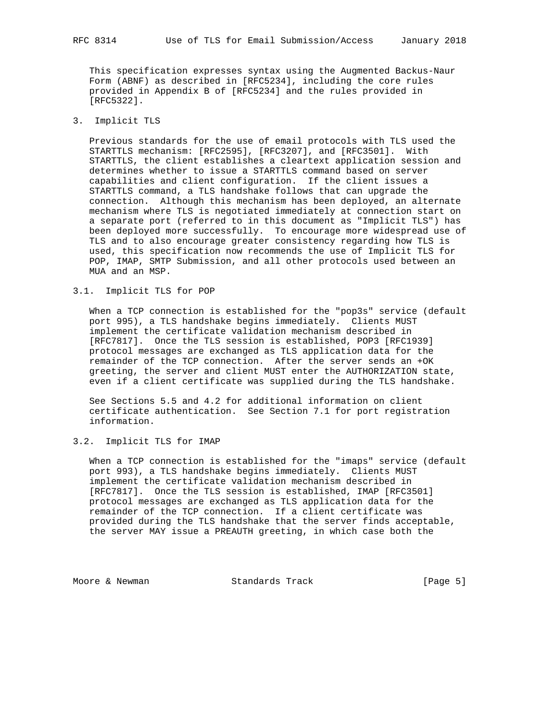This specification expresses syntax using the Augmented Backus-Naur Form (ABNF) as described in [RFC5234], including the core rules provided in Appendix B of [RFC5234] and the rules provided in [RFC5322].

## 3. Implicit TLS

 Previous standards for the use of email protocols with TLS used the STARTTLS mechanism: [RFC2595], [RFC3207], and [RFC3501]. With STARTTLS, the client establishes a cleartext application session and determines whether to issue a STARTTLS command based on server capabilities and client configuration. If the client issues a STARTTLS command, a TLS handshake follows that can upgrade the connection. Although this mechanism has been deployed, an alternate mechanism where TLS is negotiated immediately at connection start on a separate port (referred to in this document as "Implicit TLS") has been deployed more successfully. To encourage more widespread use of TLS and to also encourage greater consistency regarding how TLS is used, this specification now recommends the use of Implicit TLS for POP, IMAP, SMTP Submission, and all other protocols used between an MUA and an MSP.

#### 3.1. Implicit TLS for POP

 When a TCP connection is established for the "pop3s" service (default port 995), a TLS handshake begins immediately. Clients MUST implement the certificate validation mechanism described in [RFC7817]. Once the TLS session is established, POP3 [RFC1939] protocol messages are exchanged as TLS application data for the remainder of the TCP connection. After the server sends an +OK greeting, the server and client MUST enter the AUTHORIZATION state, even if a client certificate was supplied during the TLS handshake.

 See Sections 5.5 and 4.2 for additional information on client certificate authentication. See Section 7.1 for port registration information.

## 3.2. Implicit TLS for IMAP

 When a TCP connection is established for the "imaps" service (default port 993), a TLS handshake begins immediately. Clients MUST implement the certificate validation mechanism described in [RFC7817]. Once the TLS session is established, IMAP [RFC3501] protocol messages are exchanged as TLS application data for the remainder of the TCP connection. If a client certificate was provided during the TLS handshake that the server finds acceptable, the server MAY issue a PREAUTH greeting, in which case both the

Moore & Newman Standards Track [Page 5]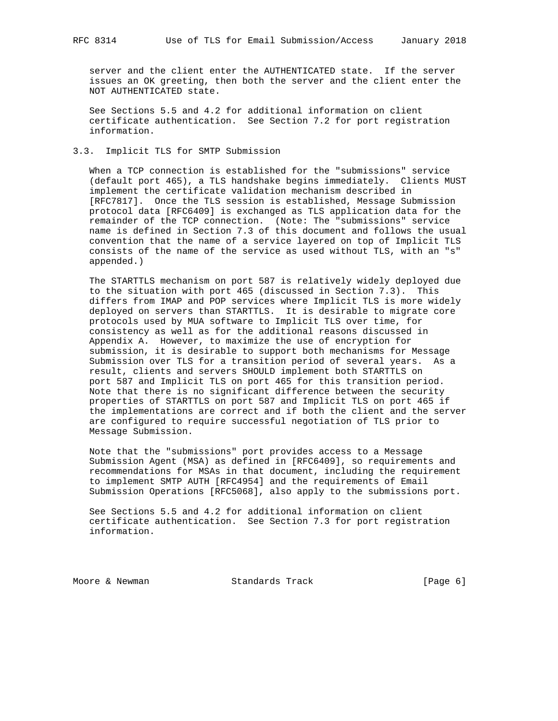server and the client enter the AUTHENTICATED state. If the server issues an OK greeting, then both the server and the client enter the NOT AUTHENTICATED state.

 See Sections 5.5 and 4.2 for additional information on client certificate authentication. See Section 7.2 for port registration information.

## 3.3. Implicit TLS for SMTP Submission

 When a TCP connection is established for the "submissions" service (default port 465), a TLS handshake begins immediately. Clients MUST implement the certificate validation mechanism described in [RFC7817]. Once the TLS session is established, Message Submission protocol data [RFC6409] is exchanged as TLS application data for the remainder of the TCP connection. (Note: The "submissions" service name is defined in Section 7.3 of this document and follows the usual convention that the name of a service layered on top of Implicit TLS consists of the name of the service as used without TLS, with an "s" appended.)

 The STARTTLS mechanism on port 587 is relatively widely deployed due to the situation with port 465 (discussed in Section 7.3). This differs from IMAP and POP services where Implicit TLS is more widely deployed on servers than STARTTLS. It is desirable to migrate core protocols used by MUA software to Implicit TLS over time, for consistency as well as for the additional reasons discussed in Appendix A. However, to maximize the use of encryption for submission, it is desirable to support both mechanisms for Message Submission over TLS for a transition period of several years. As a result, clients and servers SHOULD implement both STARTTLS on port 587 and Implicit TLS on port 465 for this transition period. Note that there is no significant difference between the security properties of STARTTLS on port 587 and Implicit TLS on port 465 if the implementations are correct and if both the client and the server are configured to require successful negotiation of TLS prior to Message Submission.

 Note that the "submissions" port provides access to a Message Submission Agent (MSA) as defined in [RFC6409], so requirements and recommendations for MSAs in that document, including the requirement to implement SMTP AUTH [RFC4954] and the requirements of Email Submission Operations [RFC5068], also apply to the submissions port.

 See Sections 5.5 and 4.2 for additional information on client certificate authentication. See Section 7.3 for port registration information.

Moore & Newman Standards Track [Page 6]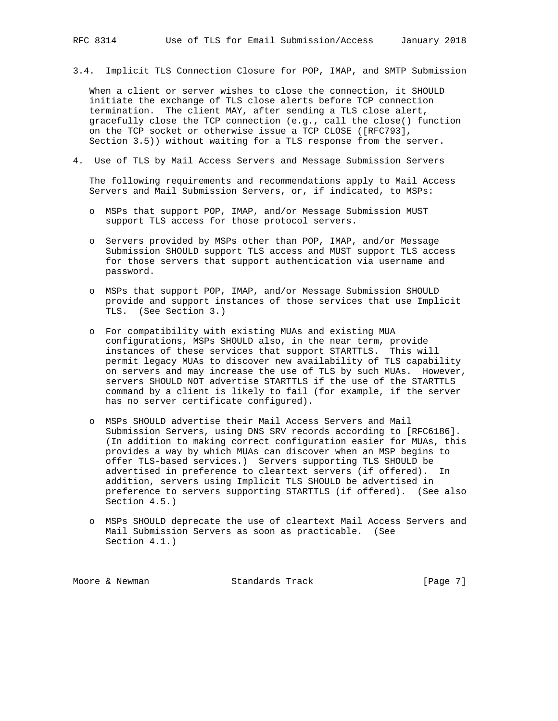3.4. Implicit TLS Connection Closure for POP, IMAP, and SMTP Submission

 When a client or server wishes to close the connection, it SHOULD initiate the exchange of TLS close alerts before TCP connection termination. The client MAY, after sending a TLS close alert, gracefully close the TCP connection (e.g., call the close() function on the TCP socket or otherwise issue a TCP CLOSE ([RFC793], Section 3.5)) without waiting for a TLS response from the server.

4. Use of TLS by Mail Access Servers and Message Submission Servers

 The following requirements and recommendations apply to Mail Access Servers and Mail Submission Servers, or, if indicated, to MSPs:

- o MSPs that support POP, IMAP, and/or Message Submission MUST support TLS access for those protocol servers.
- o Servers provided by MSPs other than POP, IMAP, and/or Message Submission SHOULD support TLS access and MUST support TLS access for those servers that support authentication via username and password.
- o MSPs that support POP, IMAP, and/or Message Submission SHOULD provide and support instances of those services that use Implicit TLS. (See Section 3.)
- o For compatibility with existing MUAs and existing MUA configurations, MSPs SHOULD also, in the near term, provide instances of these services that support STARTTLS. This will permit legacy MUAs to discover new availability of TLS capability on servers and may increase the use of TLS by such MUAs. However, servers SHOULD NOT advertise STARTTLS if the use of the STARTTLS command by a client is likely to fail (for example, if the server has no server certificate configured).
- o MSPs SHOULD advertise their Mail Access Servers and Mail Submission Servers, using DNS SRV records according to [RFC6186]. (In addition to making correct configuration easier for MUAs, this provides a way by which MUAs can discover when an MSP begins to offer TLS-based services.) Servers supporting TLS SHOULD be advertised in preference to cleartext servers (if offered). In addition, servers using Implicit TLS SHOULD be advertised in preference to servers supporting STARTTLS (if offered). (See also Section 4.5.)
- o MSPs SHOULD deprecate the use of cleartext Mail Access Servers and Mail Submission Servers as soon as practicable. (See Section 4.1.)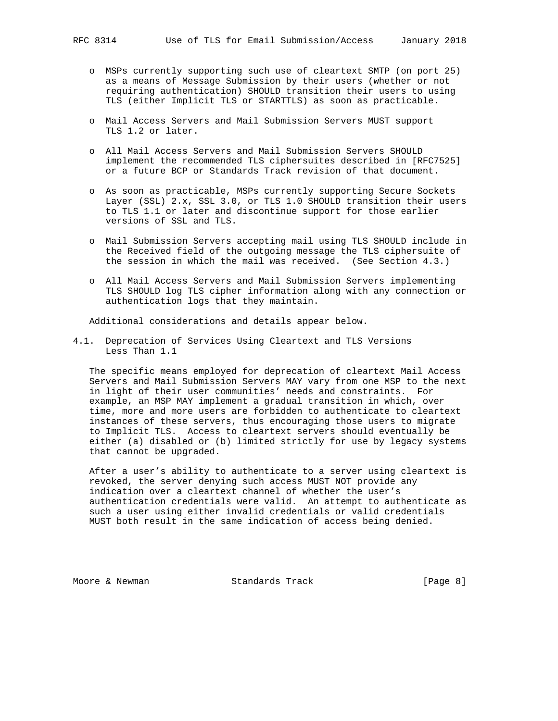- o MSPs currently supporting such use of cleartext SMTP (on port 25) as a means of Message Submission by their users (whether or not requiring authentication) SHOULD transition their users to using TLS (either Implicit TLS or STARTTLS) as soon as practicable.
- o Mail Access Servers and Mail Submission Servers MUST support TLS 1.2 or later.
- o All Mail Access Servers and Mail Submission Servers SHOULD implement the recommended TLS ciphersuites described in [RFC7525] or a future BCP or Standards Track revision of that document.
- o As soon as practicable, MSPs currently supporting Secure Sockets Layer (SSL) 2.x, SSL 3.0, or TLS 1.0 SHOULD transition their users to TLS 1.1 or later and discontinue support for those earlier versions of SSL and TLS.
- o Mail Submission Servers accepting mail using TLS SHOULD include in the Received field of the outgoing message the TLS ciphersuite of the session in which the mail was received. (See Section 4.3.)
- o All Mail Access Servers and Mail Submission Servers implementing TLS SHOULD log TLS cipher information along with any connection or authentication logs that they maintain.

Additional considerations and details appear below.

4.1. Deprecation of Services Using Cleartext and TLS Versions Less Than 1.1

 The specific means employed for deprecation of cleartext Mail Access Servers and Mail Submission Servers MAY vary from one MSP to the next in light of their user communities' needs and constraints. For example, an MSP MAY implement a gradual transition in which, over time, more and more users are forbidden to authenticate to cleartext instances of these servers, thus encouraging those users to migrate to Implicit TLS. Access to cleartext servers should eventually be either (a) disabled or (b) limited strictly for use by legacy systems that cannot be upgraded.

 After a user's ability to authenticate to a server using cleartext is revoked, the server denying such access MUST NOT provide any indication over a cleartext channel of whether the user's authentication credentials were valid. An attempt to authenticate as such a user using either invalid credentials or valid credentials MUST both result in the same indication of access being denied.

Moore & Newman Standards Track [Page 8]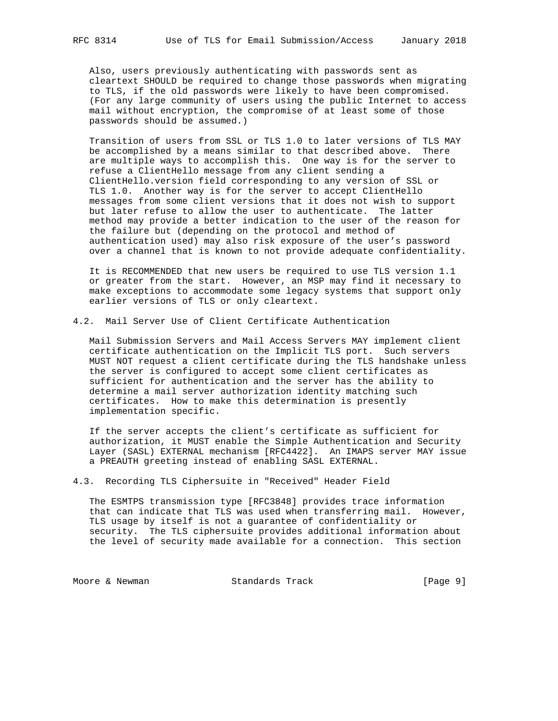Also, users previously authenticating with passwords sent as cleartext SHOULD be required to change those passwords when migrating to TLS, if the old passwords were likely to have been compromised. (For any large community of users using the public Internet to access mail without encryption, the compromise of at least some of those passwords should be assumed.)

 Transition of users from SSL or TLS 1.0 to later versions of TLS MAY be accomplished by a means similar to that described above. There are multiple ways to accomplish this. One way is for the server to refuse a ClientHello message from any client sending a ClientHello.version field corresponding to any version of SSL or TLS 1.0. Another way is for the server to accept ClientHello messages from some client versions that it does not wish to support but later refuse to allow the user to authenticate. The latter method may provide a better indication to the user of the reason for the failure but (depending on the protocol and method of authentication used) may also risk exposure of the user's password over a channel that is known to not provide adequate confidentiality.

 It is RECOMMENDED that new users be required to use TLS version 1.1 or greater from the start. However, an MSP may find it necessary to make exceptions to accommodate some legacy systems that support only earlier versions of TLS or only cleartext.

4.2. Mail Server Use of Client Certificate Authentication

 Mail Submission Servers and Mail Access Servers MAY implement client certificate authentication on the Implicit TLS port. Such servers MUST NOT request a client certificate during the TLS handshake unless the server is configured to accept some client certificates as sufficient for authentication and the server has the ability to determine a mail server authorization identity matching such certificates. How to make this determination is presently implementation specific.

 If the server accepts the client's certificate as sufficient for authorization, it MUST enable the Simple Authentication and Security Layer (SASL) EXTERNAL mechanism [RFC4422]. An IMAPS server MAY issue a PREAUTH greeting instead of enabling SASL EXTERNAL.

4.3. Recording TLS Ciphersuite in "Received" Header Field

 The ESMTPS transmission type [RFC3848] provides trace information that can indicate that TLS was used when transferring mail. However, TLS usage by itself is not a guarantee of confidentiality or security. The TLS ciphersuite provides additional information about the level of security made available for a connection. This section

Moore & Newman Standards Track [Page 9]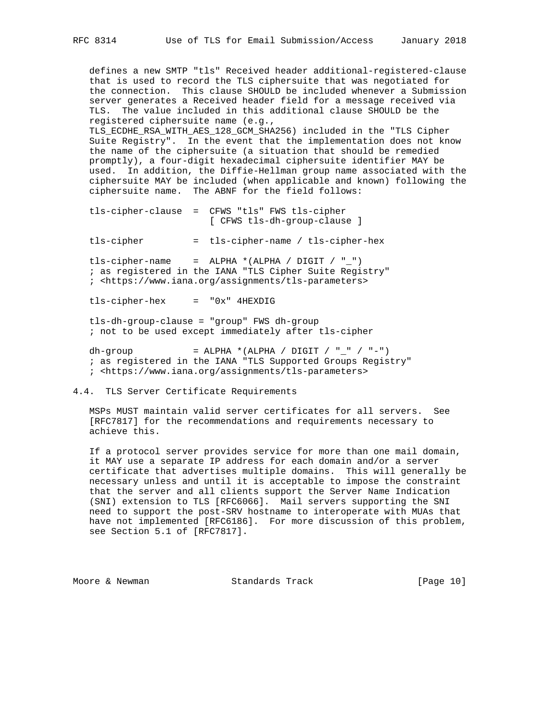defines a new SMTP "tls" Received header additional-registered-clause that is used to record the TLS ciphersuite that was negotiated for the connection. This clause SHOULD be included whenever a Submission server generates a Received header field for a message received via TLS. The value included in this additional clause SHOULD be the registered ciphersuite name (e.g.,

 TLS\_ECDHE\_RSA\_WITH\_AES\_128\_GCM\_SHA256) included in the "TLS Cipher Suite Registry". In the event that the implementation does not know the name of the ciphersuite (a situation that should be remedied promptly), a four-digit hexadecimal ciphersuite identifier MAY be used. In addition, the Diffie-Hellman group name associated with the ciphersuite MAY be included (when applicable and known) following the ciphersuite name. The ABNF for the field follows:

 tls-cipher-clause = CFWS "tls" FWS tls-cipher [ CFWS tls-dh-group-clause ]

tls-cipher = tls-cipher-name / tls-cipher-hex

tls-cipher-name = ALPHA  $*(ALPHA / DIGIT / "__")$  ; as registered in the IANA "TLS Cipher Suite Registry" ; <https://www.iana.org/assignments/tls-parameters>

tls-cipher-hex = "0x" 4HEXDIG

 tls-dh-group-clause = "group" FWS dh-group ; not to be used except immediately after tls-cipher

dh-group = ALPHA \*(ALPHA / DIGIT / "\_" / "-") ; as registered in the IANA "TLS Supported Groups Registry" ; <https://www.iana.org/assignments/tls-parameters>

4.4. TLS Server Certificate Requirements

 MSPs MUST maintain valid server certificates for all servers. See [RFC7817] for the recommendations and requirements necessary to achieve this.

 If a protocol server provides service for more than one mail domain, it MAY use a separate IP address for each domain and/or a server certificate that advertises multiple domains. This will generally be necessary unless and until it is acceptable to impose the constraint that the server and all clients support the Server Name Indication (SNI) extension to TLS [RFC6066]. Mail servers supporting the SNI need to support the post-SRV hostname to interoperate with MUAs that have not implemented [RFC6186]. For more discussion of this problem, see Section 5.1 of [RFC7817].

Moore & Newman Standards Track [Page 10]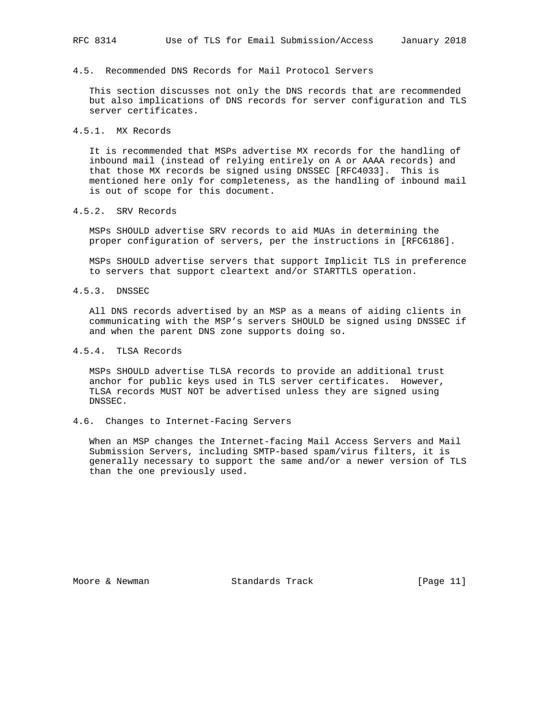## 4.5. Recommended DNS Records for Mail Protocol Servers

 This section discusses not only the DNS records that are recommended but also implications of DNS records for server configuration and TLS server certificates.

#### 4.5.1. MX Records

 It is recommended that MSPs advertise MX records for the handling of inbound mail (instead of relying entirely on A or AAAA records) and that those MX records be signed using DNSSEC [RFC4033]. This is mentioned here only for completeness, as the handling of inbound mail is out of scope for this document.

## 4.5.2. SRV Records

 MSPs SHOULD advertise SRV records to aid MUAs in determining the proper configuration of servers, per the instructions in [RFC6186].

 MSPs SHOULD advertise servers that support Implicit TLS in preference to servers that support cleartext and/or STARTTLS operation.

## 4.5.3. DNSSEC

 All DNS records advertised by an MSP as a means of aiding clients in communicating with the MSP's servers SHOULD be signed using DNSSEC if and when the parent DNS zone supports doing so.

## 4.5.4. TLSA Records

 MSPs SHOULD advertise TLSA records to provide an additional trust anchor for public keys used in TLS server certificates. However, TLSA records MUST NOT be advertised unless they are signed using DNSSEC.

#### 4.6. Changes to Internet-Facing Servers

 When an MSP changes the Internet-facing Mail Access Servers and Mail Submission Servers, including SMTP-based spam/virus filters, it is generally necessary to support the same and/or a newer version of TLS than the one previously used.

Moore & Newman Standards Track [Page 11]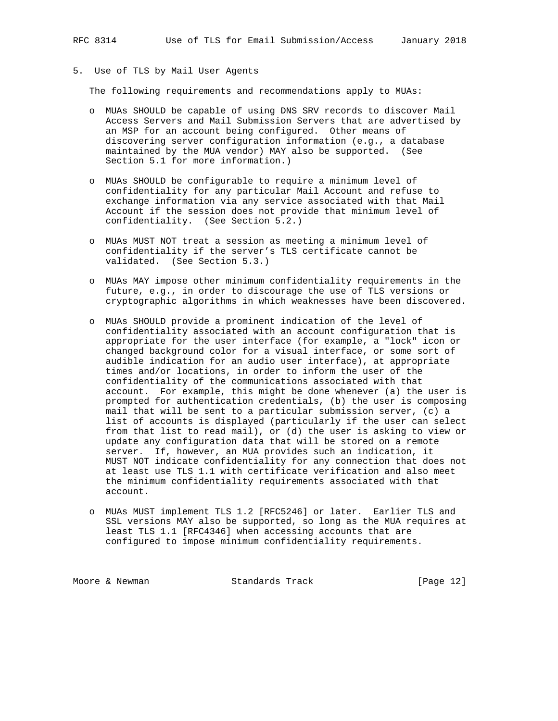5. Use of TLS by Mail User Agents

The following requirements and recommendations apply to MUAs:

- o MUAs SHOULD be capable of using DNS SRV records to discover Mail Access Servers and Mail Submission Servers that are advertised by an MSP for an account being configured. Other means of discovering server configuration information (e.g., a database maintained by the MUA vendor) MAY also be supported. (See Section 5.1 for more information.)
- o MUAs SHOULD be configurable to require a minimum level of confidentiality for any particular Mail Account and refuse to exchange information via any service associated with that Mail Account if the session does not provide that minimum level of confidentiality. (See Section 5.2.)
- o MUAs MUST NOT treat a session as meeting a minimum level of confidentiality if the server's TLS certificate cannot be validated. (See Section 5.3.)
- o MUAs MAY impose other minimum confidentiality requirements in the future, e.g., in order to discourage the use of TLS versions or cryptographic algorithms in which weaknesses have been discovered.
- o MUAs SHOULD provide a prominent indication of the level of confidentiality associated with an account configuration that is appropriate for the user interface (for example, a "lock" icon or changed background color for a visual interface, or some sort of audible indication for an audio user interface), at appropriate times and/or locations, in order to inform the user of the confidentiality of the communications associated with that account. For example, this might be done whenever (a) the user is prompted for authentication credentials, (b) the user is composing mail that will be sent to a particular submission server, (c) a list of accounts is displayed (particularly if the user can select from that list to read mail), or (d) the user is asking to view or update any configuration data that will be stored on a remote server. If, however, an MUA provides such an indication, it MUST NOT indicate confidentiality for any connection that does not at least use TLS 1.1 with certificate verification and also meet the minimum confidentiality requirements associated with that account.
- o MUAs MUST implement TLS 1.2 [RFC5246] or later. Earlier TLS and SSL versions MAY also be supported, so long as the MUA requires at least TLS 1.1 [RFC4346] when accessing accounts that are configured to impose minimum confidentiality requirements.

Moore & Newman Standards Track [Page 12]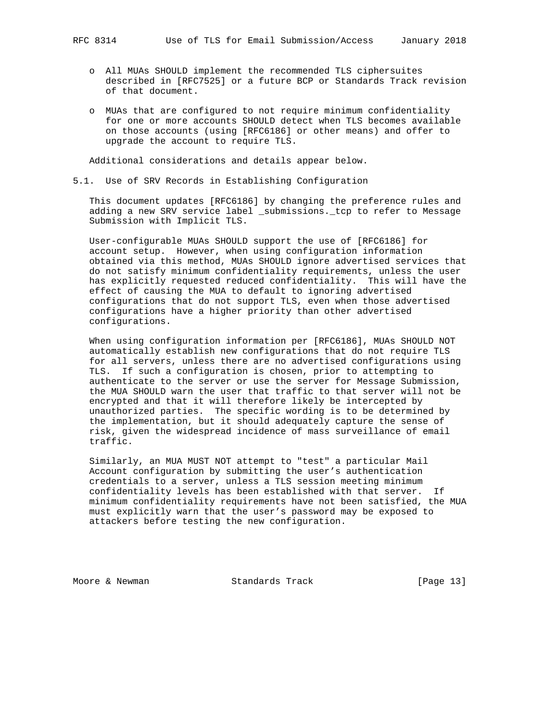- o All MUAs SHOULD implement the recommended TLS ciphersuites described in [RFC7525] or a future BCP or Standards Track revision of that document.
- o MUAs that are configured to not require minimum confidentiality for one or more accounts SHOULD detect when TLS becomes available on those accounts (using [RFC6186] or other means) and offer to upgrade the account to require TLS.

Additional considerations and details appear below.

## 5.1. Use of SRV Records in Establishing Configuration

 This document updates [RFC6186] by changing the preference rules and adding a new SRV service label \_submissions.\_tcp to refer to Message Submission with Implicit TLS.

 User-configurable MUAs SHOULD support the use of [RFC6186] for account setup. However, when using configuration information obtained via this method, MUAs SHOULD ignore advertised services that do not satisfy minimum confidentiality requirements, unless the user has explicitly requested reduced confidentiality. This will have the effect of causing the MUA to default to ignoring advertised configurations that do not support TLS, even when those advertised configurations have a higher priority than other advertised configurations.

 When using configuration information per [RFC6186], MUAs SHOULD NOT automatically establish new configurations that do not require TLS for all servers, unless there are no advertised configurations using TLS. If such a configuration is chosen, prior to attempting to authenticate to the server or use the server for Message Submission, the MUA SHOULD warn the user that traffic to that server will not be encrypted and that it will therefore likely be intercepted by unauthorized parties. The specific wording is to be determined by the implementation, but it should adequately capture the sense of risk, given the widespread incidence of mass surveillance of email traffic.

 Similarly, an MUA MUST NOT attempt to "test" a particular Mail Account configuration by submitting the user's authentication credentials to a server, unless a TLS session meeting minimum confidentiality levels has been established with that server. If minimum confidentiality requirements have not been satisfied, the MUA must explicitly warn that the user's password may be exposed to attackers before testing the new configuration.

Moore & Newman Standards Track [Page 13]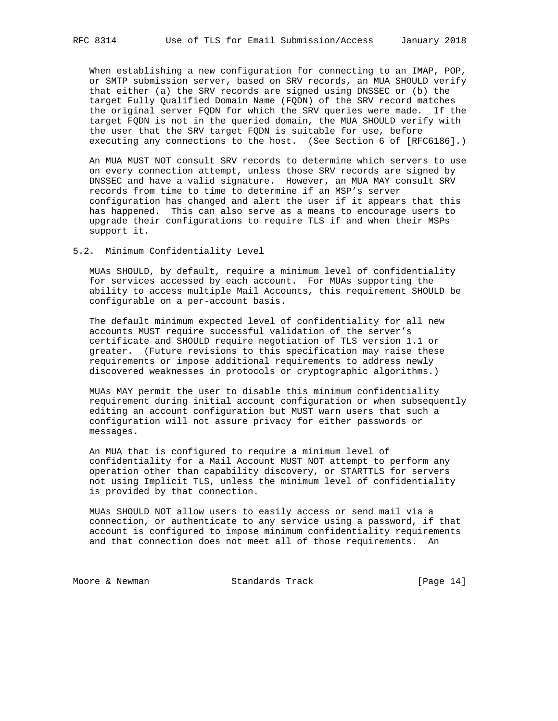When establishing a new configuration for connecting to an IMAP, POP, or SMTP submission server, based on SRV records, an MUA SHOULD verify that either (a) the SRV records are signed using DNSSEC or (b) the target Fully Qualified Domain Name (FQDN) of the SRV record matches the original server FQDN for which the SRV queries were made. If the target FQDN is not in the queried domain, the MUA SHOULD verify with the user that the SRV target FQDN is suitable for use, before executing any connections to the host. (See Section 6 of [RFC6186].)

 An MUA MUST NOT consult SRV records to determine which servers to use on every connection attempt, unless those SRV records are signed by DNSSEC and have a valid signature. However, an MUA MAY consult SRV records from time to time to determine if an MSP's server configuration has changed and alert the user if it appears that this has happened. This can also serve as a means to encourage users to upgrade their configurations to require TLS if and when their MSPs support it.

## 5.2. Minimum Confidentiality Level

 MUAs SHOULD, by default, require a minimum level of confidentiality for services accessed by each account. For MUAs supporting the ability to access multiple Mail Accounts, this requirement SHOULD be configurable on a per-account basis.

 The default minimum expected level of confidentiality for all new accounts MUST require successful validation of the server's certificate and SHOULD require negotiation of TLS version 1.1 or greater. (Future revisions to this specification may raise these requirements or impose additional requirements to address newly discovered weaknesses in protocols or cryptographic algorithms.)

 MUAs MAY permit the user to disable this minimum confidentiality requirement during initial account configuration or when subsequently editing an account configuration but MUST warn users that such a configuration will not assure privacy for either passwords or messages.

 An MUA that is configured to require a minimum level of confidentiality for a Mail Account MUST NOT attempt to perform any operation other than capability discovery, or STARTTLS for servers not using Implicit TLS, unless the minimum level of confidentiality is provided by that connection.

 MUAs SHOULD NOT allow users to easily access or send mail via a connection, or authenticate to any service using a password, if that account is configured to impose minimum confidentiality requirements and that connection does not meet all of those requirements. An

Moore & Newman Standards Track [Page 14]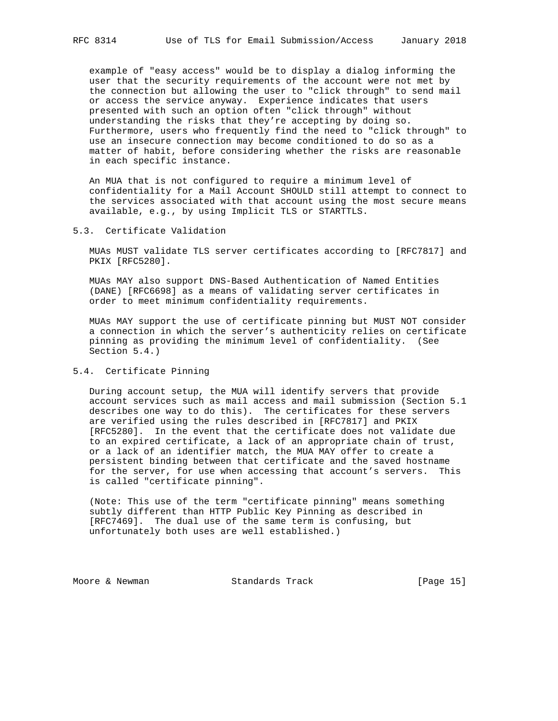example of "easy access" would be to display a dialog informing the user that the security requirements of the account were not met by the connection but allowing the user to "click through" to send mail or access the service anyway. Experience indicates that users presented with such an option often "click through" without understanding the risks that they're accepting by doing so. Furthermore, users who frequently find the need to "click through" to use an insecure connection may become conditioned to do so as a matter of habit, before considering whether the risks are reasonable in each specific instance.

 An MUA that is not configured to require a minimum level of confidentiality for a Mail Account SHOULD still attempt to connect to the services associated with that account using the most secure means available, e.g., by using Implicit TLS or STARTTLS.

### 5.3. Certificate Validation

 MUAs MUST validate TLS server certificates according to [RFC7817] and PKIX [RFC5280].

 MUAs MAY also support DNS-Based Authentication of Named Entities (DANE) [RFC6698] as a means of validating server certificates in order to meet minimum confidentiality requirements.

 MUAs MAY support the use of certificate pinning but MUST NOT consider a connection in which the server's authenticity relies on certificate pinning as providing the minimum level of confidentiality. (See Section 5.4.)

## 5.4. Certificate Pinning

 During account setup, the MUA will identify servers that provide account services such as mail access and mail submission (Section 5.1 describes one way to do this). The certificates for these servers are verified using the rules described in [RFC7817] and PKIX [RFC5280]. In the event that the certificate does not validate due to an expired certificate, a lack of an appropriate chain of trust, or a lack of an identifier match, the MUA MAY offer to create a persistent binding between that certificate and the saved hostname for the server, for use when accessing that account's servers. This is called "certificate pinning".

 (Note: This use of the term "certificate pinning" means something subtly different than HTTP Public Key Pinning as described in [RFC7469]. The dual use of the same term is confusing, but unfortunately both uses are well established.)

Moore & Newman Standards Track [Page 15]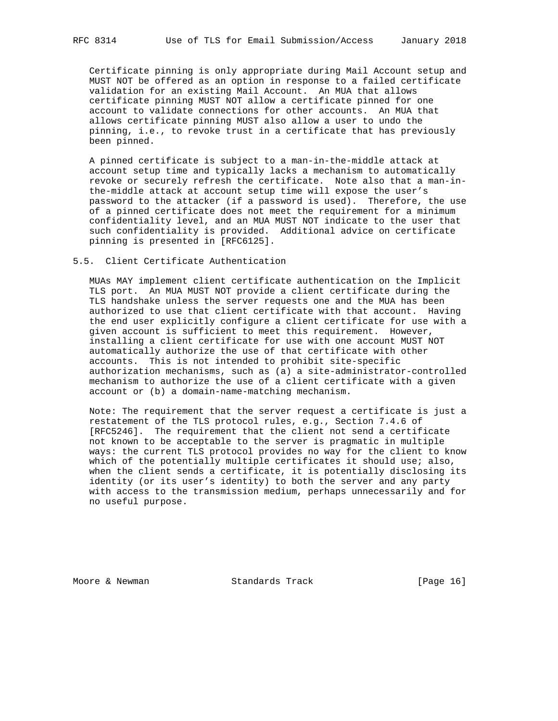Certificate pinning is only appropriate during Mail Account setup and MUST NOT be offered as an option in response to a failed certificate validation for an existing Mail Account. An MUA that allows certificate pinning MUST NOT allow a certificate pinned for one account to validate connections for other accounts. An MUA that allows certificate pinning MUST also allow a user to undo the pinning, i.e., to revoke trust in a certificate that has previously been pinned.

 A pinned certificate is subject to a man-in-the-middle attack at account setup time and typically lacks a mechanism to automatically revoke or securely refresh the certificate. Note also that a man-in the-middle attack at account setup time will expose the user's password to the attacker (if a password is used). Therefore, the use of a pinned certificate does not meet the requirement for a minimum confidentiality level, and an MUA MUST NOT indicate to the user that such confidentiality is provided. Additional advice on certificate pinning is presented in [RFC6125].

#### 5.5. Client Certificate Authentication

 MUAs MAY implement client certificate authentication on the Implicit TLS port. An MUA MUST NOT provide a client certificate during the TLS handshake unless the server requests one and the MUA has been authorized to use that client certificate with that account. Having the end user explicitly configure a client certificate for use with a given account is sufficient to meet this requirement. However, installing a client certificate for use with one account MUST NOT automatically authorize the use of that certificate with other accounts. This is not intended to prohibit site-specific authorization mechanisms, such as (a) a site-administrator-controlled mechanism to authorize the use of a client certificate with a given account or (b) a domain-name-matching mechanism.

 Note: The requirement that the server request a certificate is just a restatement of the TLS protocol rules, e.g., Section 7.4.6 of [RFC5246]. The requirement that the client not send a certificate not known to be acceptable to the server is pragmatic in multiple ways: the current TLS protocol provides no way for the client to know which of the potentially multiple certificates it should use; also, when the client sends a certificate, it is potentially disclosing its identity (or its user's identity) to both the server and any party with access to the transmission medium, perhaps unnecessarily and for no useful purpose.

Moore & Newman Standards Track [Page 16]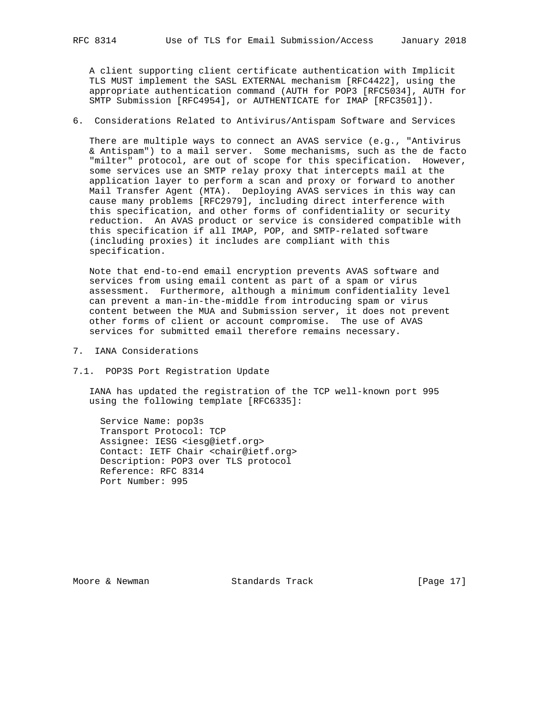A client supporting client certificate authentication with Implicit TLS MUST implement the SASL EXTERNAL mechanism [RFC4422], using the appropriate authentication command (AUTH for POP3 [RFC5034], AUTH for SMTP Submission [RFC4954], or AUTHENTICATE for IMAP [RFC3501]).

6. Considerations Related to Antivirus/Antispam Software and Services

 There are multiple ways to connect an AVAS service (e.g., "Antivirus & Antispam") to a mail server. Some mechanisms, such as the de facto "milter" protocol, are out of scope for this specification. However, some services use an SMTP relay proxy that intercepts mail at the application layer to perform a scan and proxy or forward to another Mail Transfer Agent (MTA). Deploying AVAS services in this way can cause many problems [RFC2979], including direct interference with this specification, and other forms of confidentiality or security reduction. An AVAS product or service is considered compatible with this specification if all IMAP, POP, and SMTP-related software (including proxies) it includes are compliant with this specification.

 Note that end-to-end email encryption prevents AVAS software and services from using email content as part of a spam or virus assessment. Furthermore, although a minimum confidentiality level can prevent a man-in-the-middle from introducing spam or virus content between the MUA and Submission server, it does not prevent other forms of client or account compromise. The use of AVAS services for submitted email therefore remains necessary.

- 7. IANA Considerations
- 7.1. POP3S Port Registration Update

 IANA has updated the registration of the TCP well-known port 995 using the following template [RFC6335]:

 Service Name: pop3s Transport Protocol: TCP Assignee: IESG <iesg@ietf.org> Contact: IETF Chair <chair@ietf.org> Description: POP3 over TLS protocol Reference: RFC 8314 Port Number: 995

Moore & Newman Standards Track [Page 17]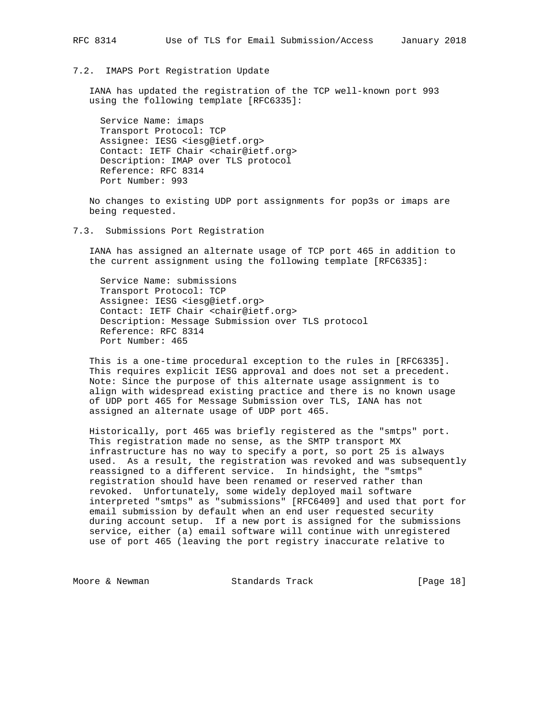#### 7.2. IMAPS Port Registration Update

 IANA has updated the registration of the TCP well-known port 993 using the following template [RFC6335]:

 Service Name: imaps Transport Protocol: TCP Assignee: IESG <iesg@ietf.org> Contact: IETF Chair <chair@ietf.org> Description: IMAP over TLS protocol Reference: RFC 8314 Port Number: 993

 No changes to existing UDP port assignments for pop3s or imaps are being requested.

 IANA has assigned an alternate usage of TCP port 465 in addition to the current assignment using the following template [RFC6335]:

 Service Name: submissions Transport Protocol: TCP Assignee: IESG <iesg@ietf.org> Contact: IETF Chair <chair@ietf.org> Description: Message Submission over TLS protocol Reference: RFC 8314 Port Number: 465

 This is a one-time procedural exception to the rules in [RFC6335]. This requires explicit IESG approval and does not set a precedent. Note: Since the purpose of this alternate usage assignment is to align with widespread existing practice and there is no known usage of UDP port 465 for Message Submission over TLS, IANA has not assigned an alternate usage of UDP port 465.

 Historically, port 465 was briefly registered as the "smtps" port. This registration made no sense, as the SMTP transport MX infrastructure has no way to specify a port, so port 25 is always used. As a result, the registration was revoked and was subsequently reassigned to a different service. In hindsight, the "smtps" registration should have been renamed or reserved rather than revoked. Unfortunately, some widely deployed mail software interpreted "smtps" as "submissions" [RFC6409] and used that port for email submission by default when an end user requested security during account setup. If a new port is assigned for the submissions service, either (a) email software will continue with unregistered use of port 465 (leaving the port registry inaccurate relative to

Moore & Newman Standards Track [Page 18]

<sup>7.3.</sup> Submissions Port Registration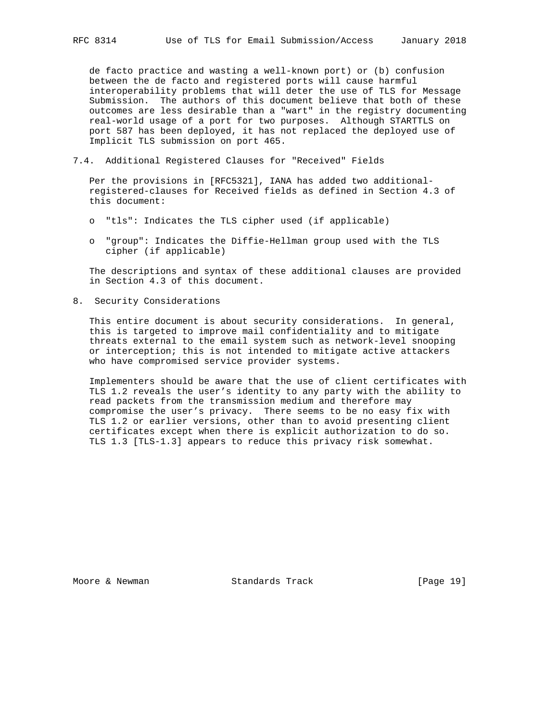de facto practice and wasting a well-known port) or (b) confusion between the de facto and registered ports will cause harmful interoperability problems that will deter the use of TLS for Message Submission. The authors of this document believe that both of these outcomes are less desirable than a "wart" in the registry documenting real-world usage of a port for two purposes. Although STARTTLS on port 587 has been deployed, it has not replaced the deployed use of Implicit TLS submission on port 465.

7.4. Additional Registered Clauses for "Received" Fields

 Per the provisions in [RFC5321], IANA has added two additional registered-clauses for Received fields as defined in Section 4.3 of this document:

- o "tls": Indicates the TLS cipher used (if applicable)
- o "group": Indicates the Diffie-Hellman group used with the TLS cipher (if applicable)

 The descriptions and syntax of these additional clauses are provided in Section 4.3 of this document.

8. Security Considerations

 This entire document is about security considerations. In general, this is targeted to improve mail confidentiality and to mitigate threats external to the email system such as network-level snooping or interception; this is not intended to mitigate active attackers who have compromised service provider systems.

 Implementers should be aware that the use of client certificates with TLS 1.2 reveals the user's identity to any party with the ability to read packets from the transmission medium and therefore may compromise the user's privacy. There seems to be no easy fix with TLS 1.2 or earlier versions, other than to avoid presenting client certificates except when there is explicit authorization to do so. TLS 1.3 [TLS-1.3] appears to reduce this privacy risk somewhat.

Moore & Newman Standards Track [Page 19]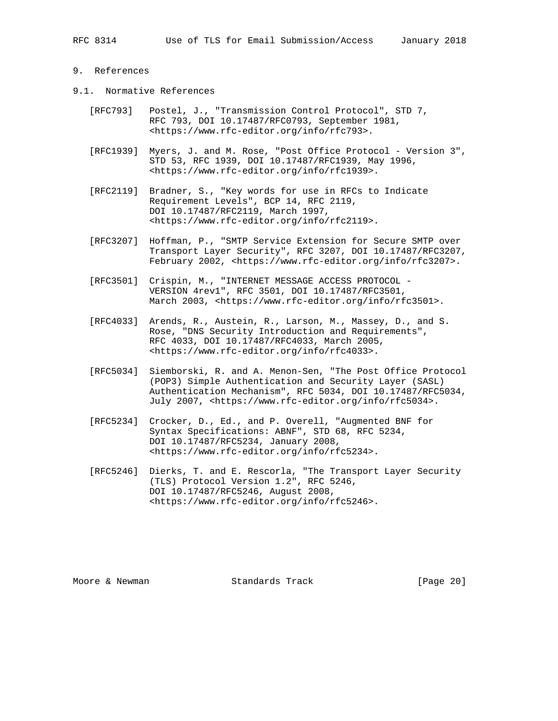# 9. References

- 9.1. Normative References
	- [RFC793] Postel, J., "Transmission Control Protocol", STD 7, RFC 793, DOI 10.17487/RFC0793, September 1981, <https://www.rfc-editor.org/info/rfc793>.
	- [RFC1939] Myers, J. and M. Rose, "Post Office Protocol Version 3", STD 53, RFC 1939, DOI 10.17487/RFC1939, May 1996, <https://www.rfc-editor.org/info/rfc1939>.
	- [RFC2119] Bradner, S., "Key words for use in RFCs to Indicate Requirement Levels", BCP 14, RFC 2119, DOI 10.17487/RFC2119, March 1997, <https://www.rfc-editor.org/info/rfc2119>.
	- [RFC3207] Hoffman, P., "SMTP Service Extension for Secure SMTP over Transport Layer Security", RFC 3207, DOI 10.17487/RFC3207, February 2002, <https://www.rfc-editor.org/info/rfc3207>.
	- [RFC3501] Crispin, M., "INTERNET MESSAGE ACCESS PROTOCOL VERSION 4rev1", RFC 3501, DOI 10.17487/RFC3501, March 2003, <https://www.rfc-editor.org/info/rfc3501>.
	- [RFC4033] Arends, R., Austein, R., Larson, M., Massey, D., and S. Rose, "DNS Security Introduction and Requirements", RFC 4033, DOI 10.17487/RFC4033, March 2005, <https://www.rfc-editor.org/info/rfc4033>.
	- [RFC5034] Siemborski, R. and A. Menon-Sen, "The Post Office Protocol (POP3) Simple Authentication and Security Layer (SASL) Authentication Mechanism", RFC 5034, DOI 10.17487/RFC5034, July 2007, <https://www.rfc-editor.org/info/rfc5034>.
	- [RFC5234] Crocker, D., Ed., and P. Overell, "Augmented BNF for Syntax Specifications: ABNF", STD 68, RFC 5234, DOI 10.17487/RFC5234, January 2008, <https://www.rfc-editor.org/info/rfc5234>.
	- [RFC5246] Dierks, T. and E. Rescorla, "The Transport Layer Security (TLS) Protocol Version 1.2", RFC 5246, DOI 10.17487/RFC5246, August 2008, <https://www.rfc-editor.org/info/rfc5246>.

Moore & Newman Standards Track [Page 20]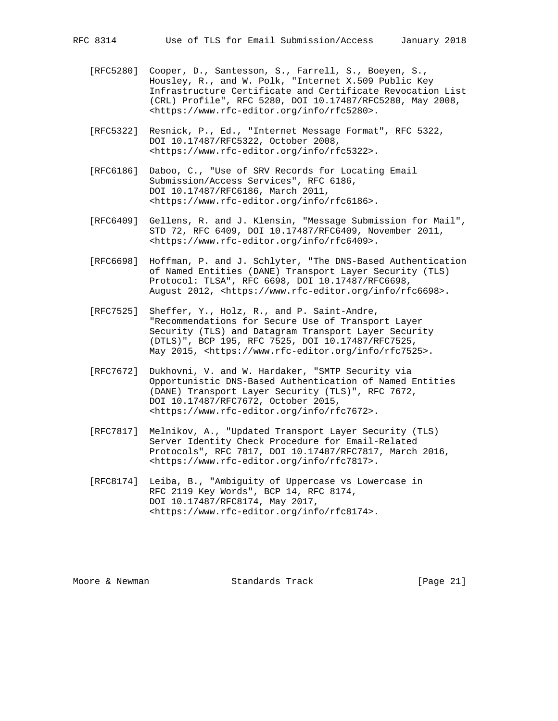- [RFC5280] Cooper, D., Santesson, S., Farrell, S., Boeyen, S., Housley, R., and W. Polk, "Internet X.509 Public Key Infrastructure Certificate and Certificate Revocation List (CRL) Profile", RFC 5280, DOI 10.17487/RFC5280, May 2008, <https://www.rfc-editor.org/info/rfc5280>.
- [RFC5322] Resnick, P., Ed., "Internet Message Format", RFC 5322, DOI 10.17487/RFC5322, October 2008, <https://www.rfc-editor.org/info/rfc5322>.
- [RFC6186] Daboo, C., "Use of SRV Records for Locating Email Submission/Access Services", RFC 6186, DOI 10.17487/RFC6186, March 2011, <https://www.rfc-editor.org/info/rfc6186>.
- [RFC6409] Gellens, R. and J. Klensin, "Message Submission for Mail", STD 72, RFC 6409, DOI 10.17487/RFC6409, November 2011, <https://www.rfc-editor.org/info/rfc6409>.
- [RFC6698] Hoffman, P. and J. Schlyter, "The DNS-Based Authentication of Named Entities (DANE) Transport Layer Security (TLS) Protocol: TLSA", RFC 6698, DOI 10.17487/RFC6698, August 2012, <https://www.rfc-editor.org/info/rfc6698>.
- [RFC7525] Sheffer, Y., Holz, R., and P. Saint-Andre, "Recommendations for Secure Use of Transport Layer Security (TLS) and Datagram Transport Layer Security (DTLS)", BCP 195, RFC 7525, DOI 10.17487/RFC7525, May 2015, <https://www.rfc-editor.org/info/rfc7525>.
- [RFC7672] Dukhovni, V. and W. Hardaker, "SMTP Security via Opportunistic DNS-Based Authentication of Named Entities (DANE) Transport Layer Security (TLS)", RFC 7672, DOI 10.17487/RFC7672, October 2015, <https://www.rfc-editor.org/info/rfc7672>.
- [RFC7817] Melnikov, A., "Updated Transport Layer Security (TLS) Server Identity Check Procedure for Email-Related Protocols", RFC 7817, DOI 10.17487/RFC7817, March 2016, <https://www.rfc-editor.org/info/rfc7817>.
- [RFC8174] Leiba, B., "Ambiguity of Uppercase vs Lowercase in RFC 2119 Key Words", BCP 14, RFC 8174, DOI 10.17487/RFC8174, May 2017, <https://www.rfc-editor.org/info/rfc8174>.

Moore & Newman Standards Track [Page 21]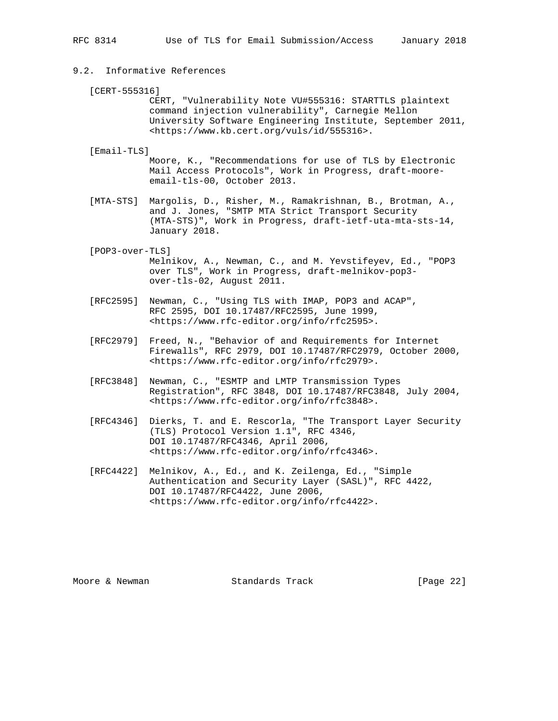## 9.2. Informative References

 [CERT-555316] CERT, "Vulnerability Note VU#555316: STARTTLS plaintext command injection vulnerability", Carnegie Mellon University Software Engineering Institute, September 2011, <https://www.kb.cert.org/vuls/id/555316>.

[Email-TLS]

 Moore, K., "Recommendations for use of TLS by Electronic Mail Access Protocols", Work in Progress, draft-moore email-tls-00, October 2013.

 [MTA-STS] Margolis, D., Risher, M., Ramakrishnan, B., Brotman, A., and J. Jones, "SMTP MTA Strict Transport Security (MTA-STS)", Work in Progress, draft-ietf-uta-mta-sts-14, January 2018.

[POP3-over-TLS]

 Melnikov, A., Newman, C., and M. Yevstifeyev, Ed., "POP3 over TLS", Work in Progress, draft-melnikov-pop3 over-tls-02, August 2011.

- [RFC2595] Newman, C., "Using TLS with IMAP, POP3 and ACAP", RFC 2595, DOI 10.17487/RFC2595, June 1999, <https://www.rfc-editor.org/info/rfc2595>.
- [RFC2979] Freed, N., "Behavior of and Requirements for Internet Firewalls", RFC 2979, DOI 10.17487/RFC2979, October 2000, <https://www.rfc-editor.org/info/rfc2979>.
- [RFC3848] Newman, C., "ESMTP and LMTP Transmission Types Registration", RFC 3848, DOI 10.17487/RFC3848, July 2004, <https://www.rfc-editor.org/info/rfc3848>.
- [RFC4346] Dierks, T. and E. Rescorla, "The Transport Layer Security (TLS) Protocol Version 1.1", RFC 4346, DOI 10.17487/RFC4346, April 2006, <https://www.rfc-editor.org/info/rfc4346>.
- [RFC4422] Melnikov, A., Ed., and K. Zeilenga, Ed., "Simple Authentication and Security Layer (SASL)", RFC 4422, DOI 10.17487/RFC4422, June 2006, <https://www.rfc-editor.org/info/rfc4422>.

Moore & Newman Standards Track [Page 22]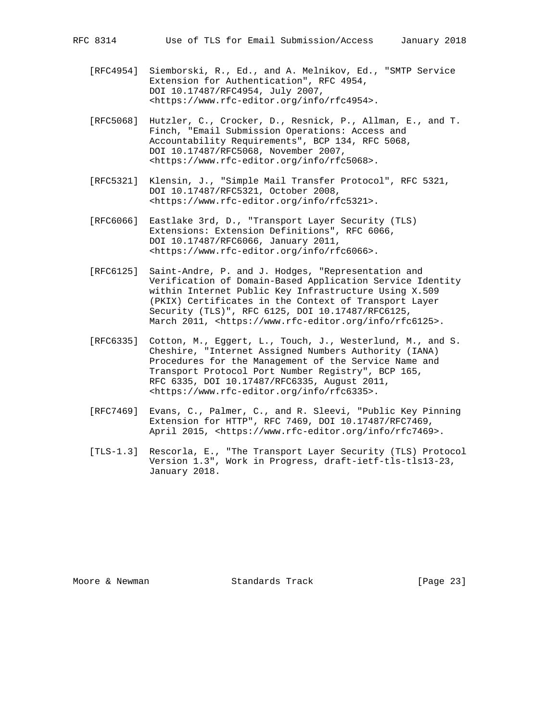- [RFC4954] Siemborski, R., Ed., and A. Melnikov, Ed., "SMTP Service Extension for Authentication", RFC 4954, DOI 10.17487/RFC4954, July 2007, <https://www.rfc-editor.org/info/rfc4954>.
- [RFC5068] Hutzler, C., Crocker, D., Resnick, P., Allman, E., and T. Finch, "Email Submission Operations: Access and Accountability Requirements", BCP 134, RFC 5068, DOI 10.17487/RFC5068, November 2007, <https://www.rfc-editor.org/info/rfc5068>.
- [RFC5321] Klensin, J., "Simple Mail Transfer Protocol", RFC 5321, DOI 10.17487/RFC5321, October 2008, <https://www.rfc-editor.org/info/rfc5321>.
- [RFC6066] Eastlake 3rd, D., "Transport Layer Security (TLS) Extensions: Extension Definitions", RFC 6066, DOI 10.17487/RFC6066, January 2011, <https://www.rfc-editor.org/info/rfc6066>.
- [RFC6125] Saint-Andre, P. and J. Hodges, "Representation and Verification of Domain-Based Application Service Identity within Internet Public Key Infrastructure Using X.509 (PKIX) Certificates in the Context of Transport Layer Security (TLS)", RFC 6125, DOI 10.17487/RFC6125, March 2011, <https://www.rfc-editor.org/info/rfc6125>.
- [RFC6335] Cotton, M., Eggert, L., Touch, J., Westerlund, M., and S. Cheshire, "Internet Assigned Numbers Authority (IANA) Procedures for the Management of the Service Name and Transport Protocol Port Number Registry", BCP 165, RFC 6335, DOI 10.17487/RFC6335, August 2011, <https://www.rfc-editor.org/info/rfc6335>.
- [RFC7469] Evans, C., Palmer, C., and R. Sleevi, "Public Key Pinning Extension for HTTP", RFC 7469, DOI 10.17487/RFC7469, April 2015, <https://www.rfc-editor.org/info/rfc7469>.
- [TLS-1.3] Rescorla, E., "The Transport Layer Security (TLS) Protocol Version 1.3", Work in Progress, draft-ietf-tls-tls13-23, January 2018.

Moore & Newman Standards Track [Page 23]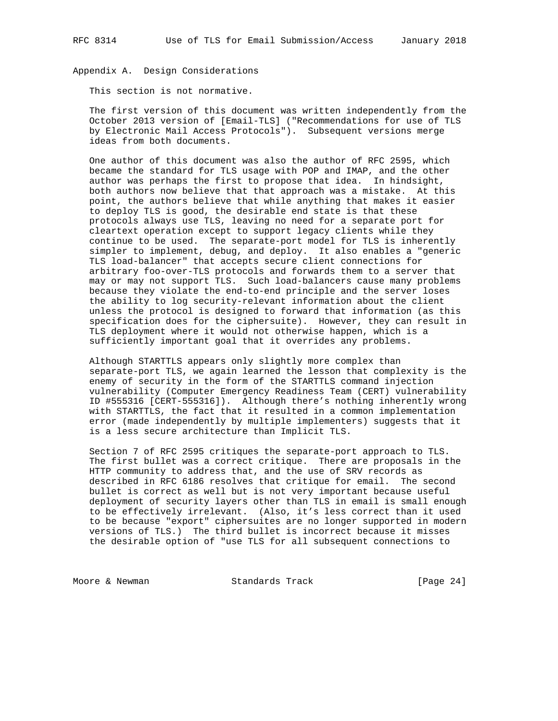Appendix A. Design Considerations

This section is not normative.

 The first version of this document was written independently from the October 2013 version of [Email-TLS] ("Recommendations for use of TLS by Electronic Mail Access Protocols"). Subsequent versions merge ideas from both documents.

 One author of this document was also the author of RFC 2595, which became the standard for TLS usage with POP and IMAP, and the other author was perhaps the first to propose that idea. In hindsight, both authors now believe that that approach was a mistake. At this point, the authors believe that while anything that makes it easier to deploy TLS is good, the desirable end state is that these protocols always use TLS, leaving no need for a separate port for cleartext operation except to support legacy clients while they continue to be used. The separate-port model for TLS is inherently simpler to implement, debug, and deploy. It also enables a "generic TLS load-balancer" that accepts secure client connections for arbitrary foo-over-TLS protocols and forwards them to a server that may or may not support TLS. Such load-balancers cause many problems because they violate the end-to-end principle and the server loses the ability to log security-relevant information about the client unless the protocol is designed to forward that information (as this specification does for the ciphersuite). However, they can result in TLS deployment where it would not otherwise happen, which is a sufficiently important goal that it overrides any problems.

 Although STARTTLS appears only slightly more complex than separate-port TLS, we again learned the lesson that complexity is the enemy of security in the form of the STARTTLS command injection vulnerability (Computer Emergency Readiness Team (CERT) vulnerability ID #555316 [CERT-555316]). Although there's nothing inherently wrong with STARTTLS, the fact that it resulted in a common implementation error (made independently by multiple implementers) suggests that it is a less secure architecture than Implicit TLS.

 Section 7 of RFC 2595 critiques the separate-port approach to TLS. The first bullet was a correct critique. There are proposals in the HTTP community to address that, and the use of SRV records as described in RFC 6186 resolves that critique for email. The second bullet is correct as well but is not very important because useful deployment of security layers other than TLS in email is small enough to be effectively irrelevant. (Also, it's less correct than it used to be because "export" ciphersuites are no longer supported in modern versions of TLS.) The third bullet is incorrect because it misses the desirable option of "use TLS for all subsequent connections to

Moore & Newman Standards Track [Page 24]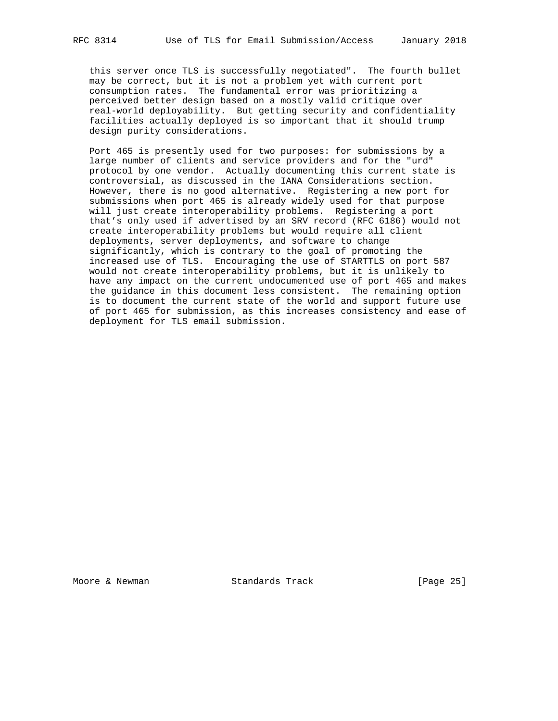this server once TLS is successfully negotiated". The fourth bullet may be correct, but it is not a problem yet with current port consumption rates. The fundamental error was prioritizing a perceived better design based on a mostly valid critique over real-world deployability. But getting security and confidentiality facilities actually deployed is so important that it should trump design purity considerations.

 Port 465 is presently used for two purposes: for submissions by a large number of clients and service providers and for the "urd" protocol by one vendor. Actually documenting this current state is controversial, as discussed in the IANA Considerations section. However, there is no good alternative. Registering a new port for submissions when port 465 is already widely used for that purpose will just create interoperability problems. Registering a port that's only used if advertised by an SRV record (RFC 6186) would not create interoperability problems but would require all client deployments, server deployments, and software to change significantly, which is contrary to the goal of promoting the increased use of TLS. Encouraging the use of STARTTLS on port 587 would not create interoperability problems, but it is unlikely to have any impact on the current undocumented use of port 465 and makes the guidance in this document less consistent. The remaining option is to document the current state of the world and support future use of port 465 for submission, as this increases consistency and ease of deployment for TLS email submission.

Moore & Newman Standards Track [Page 25]